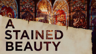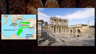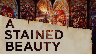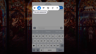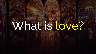# What is love?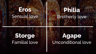#### **Eros** Sensual love

#### **Philia** Brotherly love

#### **Storge** Familial love

#### **Agape** Unconditional love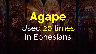## **Agape** Used 20 times in Ephesians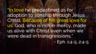"In love he predestined us for adoption to sonship through Jesus Christ. Because of his great love for us, God, who is rich in mercy, made us alive with Christ even when we were dead in transgressions." - Eph. 1:4-5, 2:4-5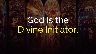### God is the Divine Initiator.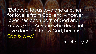"Beloved, let us love one another, for love is from God, and whoever loves has been born of God and knows God. Anyone who does not love does not know God, because God *is* love."

- 1 John 4:7-8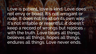Love is patient, love is kind. Love does not envy or boast. It's not arrogant or rude. It does not insist on its own way; it's not irritable or resentful; it doesn't keep a record of wrongs but rejoices with the truth. Love bears all things, believes all things, hopes all things, endures all things. Love never ends.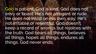God is patient, God is kind. God does not envy or boast. He's not arrogant or rude. He does not insist on His own way; He's not irritable or resentful; God doesn't keep a record of wrongs but rejoices with the truth. God bears all things, believes all things, hopes all things, endures all things. God never ends.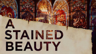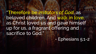"Therefore be *imitators of God*, as beloved children. And walk in love, as Christ loved us and gave himself up for us, a fragrant offering and sacrifice to God."

- Ephesians 5:1-2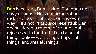Dan is patient, Dan is kind. Dan does not envy or boast. He's not arrogant or rude. He does not insist on His own way; He's not irritable or resentful; Dan doesn't keep a record of wrongs but rejoices with the truth. Dan bears all things, believes all things, hopes all things, endures all things.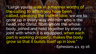"I…urge you to walk in a manner worthy of the calling to which you have been called…speaking the truth in love, we are to grow up in every way into him who is the head, into Christ, from whom the whole body, joined and held together by every joint with which it is equipped, when each part is working properly, makes the body grow so that it builds itself up in love."

- Ephesians 4:1, 15-16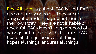First Alliance is patient, FAC is kind. FAC does not envy or boast. They are not arrogant or rude. They do not insist on their own way; They are not irritable or resentful; FAC doesn't keep a record of wrongs but rejoices with the truth. FAC bears all things, believes all things, hopes all things, endures all things.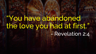### "You have abandoned the love you had at first." - Revelation 2:4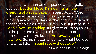"If I speak with human eloquence and angelic ecstasy but don't love, I'm nothing but the creaking of a rusty gate. If I speak God's Word with power, revealing all his mysteries and making everything plain as day, and if I have faith that says to a mountain, "Jump," and it jumps, but I don't love, I'm nothing. If I give everything I own to the poor and even go to the stake to be burned as a martyr, but I don't love, I've gotten nowhere. So, no matter what I say, what I believe, and what I do, I'm bankrupt without love."

- 1 Corinthians 13:1-3, Message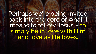Perhaps we're being invited back into the core of what it means to follow Jesus – to simply be in love with Him<br>and love as He loves.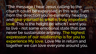"The message I hear Jesus calling to the church could be expressed in this way: Turn from the direction you're currently heading and give yourself to what is truly important: love. This is the height on which I want you to live - not some emotional state that can never be sustainable anyway. The highest expression of our relationship is for you to experience My love. Love Me in return and together we can love everyone around you.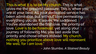This is what it is to be My church. This is what gives me the greatest pleasure. This is when you are at your best. All your dedicated service has been admirable, but without love permeating everything you do, it leaves Me saddened. You've abandoned the first love, the priority of love. Love is to be foremost; yet along your journey of following Me, you laid aside that priority and chose others instead. My church, nothing you prioritize above love will represent Me well, for I *am* love."

- John Stumbo, *A Stained Beauty*